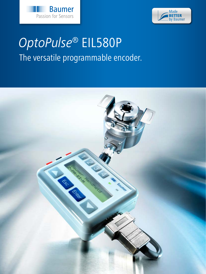



#### Photoelectric sensors. Fiber optics  $O$ nto $O$ u **OptoPulse® EIL580P** The versatile programmable encoder.

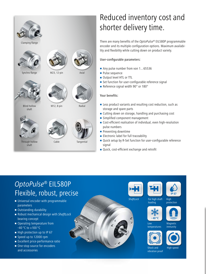

# Reduced inventory cost and shorter delivery time.

There are many benefits of the *OptoPulse®* EIL580P programmable encoder and its multiple configuration options. Maximum availability and flexibility while cutting down on product variety.

#### User-configurable parameters:

- Any pulse number from von 1...65536
- **Pulse sequence**
- Output level HTL or TTL
- Set function for user-configurable reference signal
- Reference signal width 90° or 180°

#### Your benefits:

- **EXECTE 2018 Less product variants and resulting cost reduction, such as** storage and spare parts
- Cutting down on storage, handling and purchasing cost
- **Simplified component management**
- Cost-efficient realisation of individual, even high-resolution pulse numbers
- **Preventing downtime**
- **Electronic label for full traceability**
- Quick setup by R-Set function for user-configurable reference signal
- Quick, cost-efficient exchange and retrofit

## *OptoPulse®* EIL580P Flexible, robust, precise

- **Universal encoder with programmable** parameters
- Outstanding durability
- Robust mechanical design with *ShaftLock* bearing concept
- Operating temperature from  $-40$  °C to  $+100$  °C
- $\blacksquare$  High protection up to IP 67
- Speed up to 12000 rpm
- **Excellent price-performance ratio**
- One-stop source for encoders and accessories







High protection

*ShaftLock*

For high shaft loading







**Magnetic** immunity





Shock and vibration proof High speed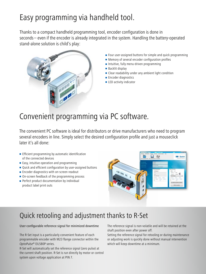# Easy programming via handheld tool.

Thanks to a compact handheld programming tool, encoder configuration is done in seconds – even if the encoder is already integrated in the system. Handling the battery-operated stand-alone solution is child's play:



- **Four user-assigned buttons for simple and quick programming**
- **Memory of several encoder configuration profiles**
- Intuitive, fully menu-driven programming
- Backlit display
- **Clear readability under any ambient light condition**
- **Encoder diagnostics**
- **LED** activity indicator

# Convenient programming via PC software.

The convenient PC software is ideal for distributors or drive manufacturers who need to program several encoders in line. Simply select the desired configuration profile and just a mouseclick later it's all done:

- **Efficient programming by automatic identification** of the connected devices
- $\blacksquare$  Easy, intuitive operation and programming
- Quick and efficient configuration by user-assigned buttons
- **Encoder diagnostics with on-screen readout**
- On-screen feedback of the programming process
- Perfect product documentation by individual product label print outs



## Quick retooling and adjustment thanks to R-Set

User-configurable reference signal for minimized downtime

The R-Set input is a particularly convenient feature of each programmable encoder with M23 flange connector within the *OptoPulse*® EIL580P series.

R-Set will automatically set the reference signal (zero pulse) at the current shaft position. R-Set is run directly by motor or control system upon voltage application at PIN 7.

The reference signal is non-volatile and will be retained at the shaft position even after power off.

Setting the reference signal for retooling or during maintenance or adjusting work is quickly done without manual intervention which will keep downtime at a minimum.